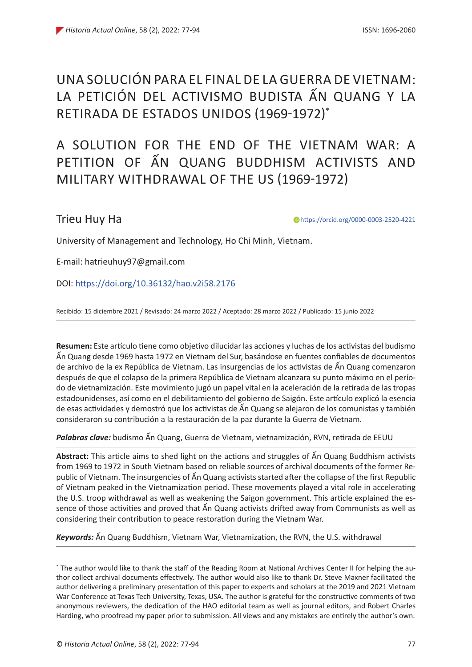# UNA SOLUCIÓN PARA EL FINAL DE LA GUERRA DE VIETNAM: LA PETICIÓN DEL ACTIVISMO BUDISTA ẤN QUANG Y LA RETIRADA DE ESTADOS UNIDOS (1969-1972)\*

# A SOLUTION FOR THE END OF THE VIETNAM WAR: A PETITION OF ẤN QUANG BUDDHISM ACTIVISTS AND MILITARY WITHDRAWAL OF THE US (1969-1972)

# Trieu Huy Ha

https://orcid.org/0000-0003-2520-4221

University of Management and Technology, Ho Chi Minh, Vietnam.

E-mail: hatrieuhuy97@gmail.com

DOI: https://doi.org/10.36132/hao.v2i58.2176

Recibido: 15 diciembre 2021 / Revisado: 24 marzo 2022 / Aceptado: 28 marzo 2022 / Publicado: 15 junio 2022

**Resumen:** Este artículo tiene como objetivo dilucidar las acciones y luchas de los activistas del budismo Ấn Quang desde 1969 hasta 1972 en Vietnam del Sur, basándose en fuentes confiables de documentos de archivo de la ex República de Vietnam. Las insurgencias de los activistas de Ấn Quang comenzaron después de que el colapso de la primera República de Vietnam alcanzara su punto máximo en el período de vietnamización. Este movimiento jugó un papel vital en la aceleración de la retirada de las tropas estadounidenses, así como en el debilitamiento del gobierno de Saigón. Este artículo explicó la esencia de esas actividades y demostró que los activistas de Ấn Quang se alejaron de los comunistas y también consideraron su contribución a la restauración de la paz durante la Guerra de Vietnam.

*Palabras clave:* budismo Ấn Quang, Guerra de Vietnam, vietnamización, RVN, retirada de EEUU

**Abstract:** This article aims to shed light on the actions and struggles of Ấn Quang Buddhism activists from 1969 to 1972 in South Vietnam based on reliable sources of archival documents of the former Republic of Vietnam. The insurgencies of Ấn Quang activists started after the collapse of the first Republic of Vietnam peaked in the Vietnamization period. These movements played a vital role in accelerating the U.S. troop withdrawal as well as weakening the Saigon government. This article explained the essence of those activities and proved that Ấn Quang activists drifted away from Communists as well as considering their contribution to peace restoration during the Vietnam War.

*Keywords:* Ấn Quang Buddhism, Vietnam War, Vietnamization, the RVN, the U.S. withdrawal

<sup>\*</sup> The author would like to thank the staff of the Reading Room at National Archives Center II for helping the author collect archival documents effectively. The author would also like to thank Dr. Steve Maxner facilitated the author delivering a preliminary presentation of this paper to experts and scholars at the 2019 and 2021 Vietnam War Conference at Texas Tech University, Texas, USA. The author is grateful for the constructive comments of two anonymous reviewers, the dedication of the HAO editorial team as well as journal editors, and Robert Charles Harding, who proofread my paper prior to submission. All views and any mistakes are entirely the author's own.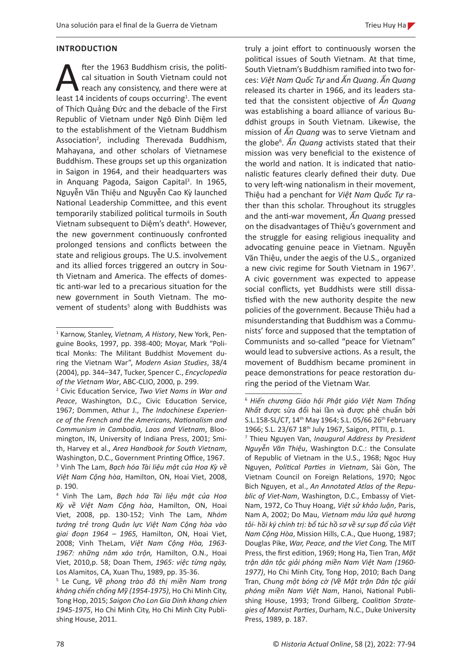### **INTRODUCTION**

**A fter the 1963 Buddhism crisis, the political situation in South Vietnam could not reach any consistency, and there were at least 14 incidents of coups occurring<sup>1</sup>. The event** cal situation in South Vietnam could not reach any consistency, and there were at least 14 incidents of coups occurring<sup>1</sup>. The event of Thích Quảng Đức and the debacle of the First Republic of Vietnam under Ngô Đình Diệm led to the establishment of the Vietnam Buddhism Association<sup>2</sup>, including Therevada Buddhism, Mahayana, and other scholars of Vietnamese Buddhism. These groups set up this organization in Saigon in 1964, and their headquarters was in Anquang Pagoda, Saigon Capital<sup>3</sup>. In 1965, Nguyễn Văn Thiệu and Nguyễn Cao Kỳ launched National Leadership Committee, and this event temporarily stabilized political turmoils in South Vietnam subsequent to Diệm's death<sup>4</sup>. However, the new government continuously confronted prolonged tensions and conflicts between the state and religious groups. The U.S. involvement and its allied forces triggered an outcry in South Vietnam and America. The effects of domestic anti-war led to a precarious situation for the new government in South Vietnam. The movement of students<sup>5</sup> along with Buddhists was

truly a joint effort to continuously worsen the political issues of South Vietnam. At that time, South Vietnam's Buddhism ramified into two forces: *Việt Nam Quốc Tự* and *Ấn Quang*. *Ấn Quang* released its charter in 1966, and its leaders stated that the consistent objective of *Ấn Quang* was establishing a board alliance of various Buddhist groups in South Vietnam. Likewise, the mission of *Ấn Quang* was to serve Vietnam and the globe<sup>6</sup> . *Ấn Quang* activists stated that their mission was very beneficial to the existence of the world and nation. It is indicated that nationalistic features clearly defined their duty. Due to very left-wing nationalism in their movement, Thiệu had a penchant for *Việt Nam Quốc Tự* rather than this scholar. Throughout its struggles and the anti-war movement, *Ấn Quang* pressed on the disadvantages of Thiệu's government and the struggle for easing religious inequality and advocating genuine peace in Vietnam. Nguyễn Văn Thiệu, under the aegis of the U.S., organized a new civic regime for South Vietnam in 1967<sup>7</sup>. A civic government was expected to appease social conflicts, yet Buddhists were still dissatisfied with the new authority despite the new policies of the government. Because Thiệu had a misunderstanding that Buddhism was a Communists' force and supposed that the temptation of Communists and so-called "peace for Vietnam" would lead to subversive actions. As a result, the movement of Buddhism became prominent in peace demonstrations for peace restoration during the period of the Vietnam War.

<sup>1</sup> Karnow, Stanley, *Vietnam, A History*, New York, Penguine Books, 1997, pp. 398-400; Moyar, Mark "Political Monks: The Militant Buddhist Movement during the Vietnam War", *Modern Asian Studies*, 38/4 (2004), pp. 344–347, Tucker, Spencer C., *Encyclopedia of the Vietnam War*, ABC-CLIO, 2000, p. 299.

<sup>2</sup> Civic Education Service, *Two Viet Nams in War and Peace*, Washington, D.C., Civic Education Service, 1967; Dommen, Athur J., *The Indochinese Experience of the French and the Americans, Nationalism and Communism in Cambodia, Laos and Vietnam*, Bloomington, IN, University of Indiana Press, 2001; Smith, Harvey et al., *Area Handbook for South Vietnam*, Washington, D.C., Government Printing Office, 1967. 3 Vinh The Lam, *Bạch hóa Tài liệu mật của Hoa Kỳ về Việt Nam Cộng hòa*, Hamilton, ON, Hoai Viet, 2008, p. 190.

<sup>4</sup> Vinh The Lam, *Bạch hóa Tài liệu mật của Hoa Kỳ về Việt Nam Cộng hòa*, Hamilton, ON, Hoai Viet, 2008, pp. 130-152; Vinh The Lam, *Nhóm tướng trẻ trong Quân lực Việt Nam Cộng hòa vào giai đoạn 1964 – 1965,* Hamilton, ON, Hoai Viet, 2008; Vinh TheLam, *Việt Nam Cộng Hòa, 1963- 1967: những năm xáo trộn,* Hamilton, O.N., Hoai Viet, 2010,p. 58; Doan Them, *1965: việc từng ngày,*  Los Alamitos, CA, Xuan Thu, 1989, pp. 35-36.

<sup>5</sup> Le Cung, *Về phong trào đô thị miền Nam trong kháng chiến chống Mỹ (1954-1975)*, Ho Chi Minh City, Tong Hop, 2015; *Saigon Cho Lon Gia Dinh khang chien 1945-1975*, Ho Chi Minh City, Ho Chi Minh City Publishing House, 2011.

<sup>6</sup> *Hiến chương Giáo hội Phật giáo Việt Nam Thống Nhất* được sửa đổi hai lần và được phê chuẩn bởi S.L.158-SL/C*T*, 14th May 1964; S.L. 05/66 26th February 1966; S.L. 23/67 18th July 1967, Saigon, PTTII, p. 1.

<sup>7</sup> Thieu Nguyen Van, *Inaugural Address by President Nguyễn Văn Thiệu*, Washington D.C.: the Consulate of Republic of Vietnam in the U.S., 1968; Ngoc Huy Nguyen, *Political Parties in Vietnam*, Sài Gòn, The Vietnam Council on Foreign Relations, 1970; Ngoc Bich Nguyen, et al., *An Annotated Atlas of the Republic of Viet-Nam*, Washington, D.C., Embassy of Viet-Nam, 1972, Co Thuy Hoang, *Việt sử khảo luận*, Paris, Nam A, 2002; Do Mau, *Vietnam máu lửa quê hương tôi- hồi ký chính trị: bổ túc hồ sơ về sự sụp đổ của Việt Nam Cộng Hòa*, Mission Hills, C.A., Que Huong, 1987; Douglas Pike, *War, Peace, and the Viet Cong,* The MIT Press, the first edition, 1969; Hong Ha, Tien Tran, *Mặt trận dân tộc giải phóng miền Nam Việt Nam (1960- 1977)*, Ho Chi Minh City, Tong Hop, 2010; Bach Dang Tran, *Chung một bóng cờ (Về Mặt trận Dân tộc giải phóng miền Nam Việt Nam*, Hanoi, National Publishing House, 1993; Trond Gilberg, *Coalition Strategies of Marxist Parties*, Durham, N.C., Duke University Press, 1989, p. 187.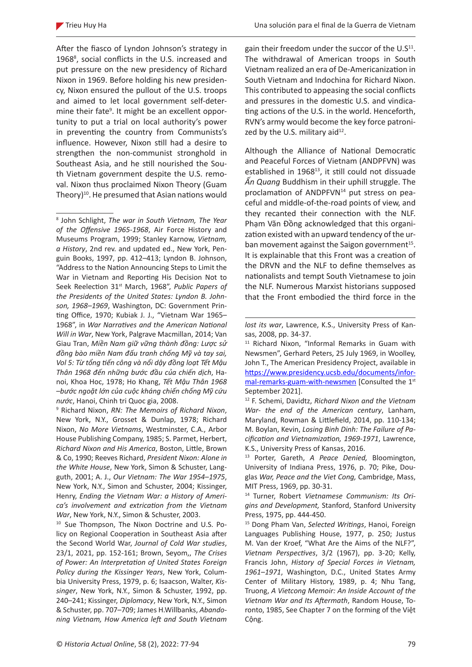After the fiasco of Lyndon Johnson's strategy in 19688 , social conflicts in the U.S. increased and put pressure on the new presidency of Richard Nixon in 1969. Before holding his new presidency, Nixon ensured the pullout of the U.S. troops and aimed to let local government self-determine their fate<sup>9</sup>. It might be an excellent opportunity to put a trial on local authority's power in preventing the country from Communists's influence. However, Nixon still had a desire to strengthen the non-communist stronghold in Southeast Asia, and he still nourished the South Vietnam government despite the U.S. removal. Nixon thus proclaimed Nixon Theory (Guam Theory)<sup>10</sup>. He presumed that Asian nations would

10 Sue Thompson, The Nixon Doctrine and U.S. Policy on Regional Cooperation in Southeast Asia after the Second World War, *Journal of Cold War studies*, 23/1, 2021, pp. 152-161; Brown, Seyom,, *The Crises of Power: An Interpretation of United States Foreign Policy during the Kissinger Years*, New York, Columbia University Press, 1979, p. 6; Isaacson, Walter, *Kissinger*, New York, N.Y., Simon & Schuster, 1992, pp. 240–241; Kissinger, *Diplomacy*, New York, N.Y., Simon & Schuster, pp. 707–709; James H.Willbanks, *Abandoning Vietnam, How America left and South Vietnam* 

gain their freedom under the succor of the  $U.S<sup>11</sup>$ . The withdrawal of American troops in South Vietnam realized an era of De-Americanization in South Vietnam and Indochina for Richard Nixon. This contributed to appeasing the social conflicts and pressures in the domestic U.S. and vindicating actions of the U.S. in the world. Henceforth, RVN's army would become the key force patronized by the U.S. military aid $^{12}$ .

Although the Alliance of National Democratic and Peaceful Forces of Vietnam (ANDPFVN) was established in 1968<sup>13</sup>, it still could not dissuade *Ấn Quang* Buddhism in their uphill struggle. The proclamation of ANDPFVN<sup>14</sup> put stress on peaceful and middle-of-the-road points of view, and they recanted their connection with the NLF. Phạm Văn Đồng acknowledged that this organization existed with an upward tendency of the urban movement against the Saigon government<sup>15</sup>. It is explainable that this Front was a creation of the DRVN and the NLF to define themselves as nationalists and tempt South Vietnamese to join the NLF. Numerous Marxist historians supposed that the Front embodied the third force in the

<sup>8</sup> John Schlight, *The war in South Vietnam, The Year of the Offensive 1965-1968*, Air Force History and Museums Program, 1999; Stanley Karnow, *Vietnam, a History*, 2nd rev. and updated ed., New York, Penguin Books, 1997, pp. 412–413; Lyndon B. Johnson, "Address to the Nation Announcing Steps to Limit the War in Vietnam and Reporting His Decision Not to Seek Reelection 31st March, 1968", *Public Papers of the Presidents of the United States: Lyndon B. Johnson, 1968–1969*, Washington, DC: Government Printing Office, 1970; Kubiak J. J., "Vietnam War 1965– 1968", in *War Narratives and the American National Will in War*, New York, Palgrave Macmillan, 2014; Van Giau Tran, *Miền Nam giữ vững thành đồng: Lược sử đồng bào miền Nam đấu tranh chống Mỹ và tay sai, Vol 5: Từ tổng tiến công và nổi dậy đồng loạt Tết Mậu Thân 1968 đến những bước đầu của chiến dịch*, Hanoi, Khoa Hoc, 1978; Ho Khang, *Tết Mậu Thân 1968 –bước ngoặt lớn của cuộc kháng chiến chống Mỹ cứu nước*, Hanoi, Chinh tri Quoc gia, 2008.

<sup>9</sup> Richard Nixon, *RN: The Memoirs of Richard Nixon*, New York, N.Y., Grosset & Dunlap, 1978; Richard Nixon, *No More Vietnams*, Westminster, C.A., Arbor House Publishing Company, 1985; S. Parmet, Herbert, *Richard Nixon and His America*, Boston, Little, Brown & Co, 1990; Reeves Richard, *President Nixon: Alone in the White House*, New York, Simon & Schuster, Langguth, 2001; A. J., *Our Vietnam: The War 1954–1975*, New York, N.Y., Simon and Schuster, 2004; Kissinger, Henry, *Ending the Vietnam War: a History of America's involvement and extrication from the Vietnam War*, New York, N.Y., Simon & Schuster, 2003.

*lost its war*, Lawrence, K.S., University Press of Kansas, 2008, pp. 34-37.

<sup>&</sup>lt;sup>11</sup> Richard Nixon, "Informal Remarks in Guam with Newsmen", Gerhard Peters, 25 July 1969, in Woolley, John T., The American Presidency Project, available in https://www.presidency.ucsb.edu/documents/informal-remarks-guam-with-newsmen [Consulted the 1st September 2021].

<sup>12</sup> F. Schemi, Davidtz, *Richard Nixon and the Vietnam War- the end of the American century*, Lanham, Maryland, Rowman & Littlefield, 2014, pp. 110-134; M. Boylan, Kevin, *Losing Binh Dinh: The Failure of Pacification and Vietnamization, 1969-1971*, Lawrence, K.S., University Press of Kansas, 2016.

<sup>13</sup> Porter, Gareth, *A Peace Denied,* Bloomington, University of Indiana Press, 1976, p. 70; Pike, Douglas *War, Peace and the Viet Cong,* Cambridge, Mass, MIT Press, 1969, pp. 30-31.

<sup>14</sup> Turner, Robert *Vietnamese Communism: Its Origins and Development,* Stanford, Stanford University Press, 1975, pp. 444-450.

<sup>15</sup> Dong Pham Van, *Selected Writings*, Hanoi, Foreign Languages Publishing House, 1977, p. 250; Justus M. Van der Kroef, "What Are the Aims of the NLF?", *Vietnam Perspectives*, 3/2 (1967), pp. 3-20; Kelly, Francis John, *History of Special Forces in Vietnam, 1961–1971*, Washington, D.C., United States Army Center of Military History, 1989, p. 4; Nhu Tang, Truong, *A Vietcong Memoir: An Inside Account of the Vietnam War and Its Aftermath*, Random House, Toronto, 1985, See Chapter 7 on the forming of the Việt Cộng.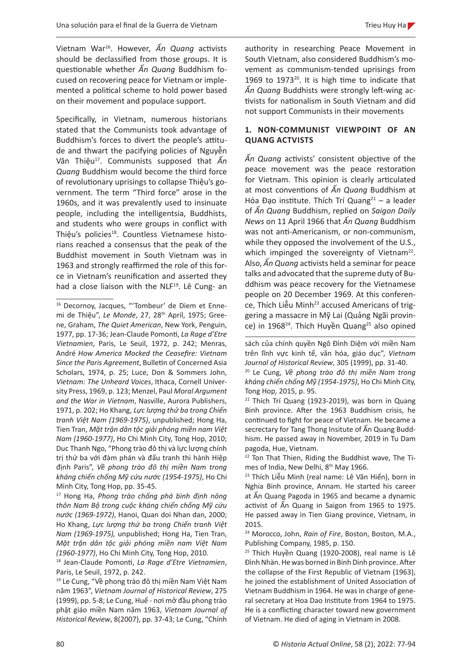Vietnam War<sup>16</sup>. However*, Ấn Quang* activists should be declassified from those groups. It is questionable whether *Ấn Quang* Buddhism focused on recovering peace for Vietnam or implemented a political scheme to hold power based on their movement and populace support.

Specifically, in Vietnam, numerous historians stated that the Communists took advantage of Buddhism's forces to divert the people's attitude and thwart the pacifying policies of Nguyễn Văn Thiệu<sup>17</sup>. Communists supposed that *Ấn Quang* Buddhism would become the third force of revolutionary uprisings to collapse Thiệu's government. The term "Third force" arose in the 1960s, and it was prevalently used to insinuate people, including the intelligentsia, Buddhists, and students who were groups in conflict with Thiệu's policies<sup>18</sup>. Countless Vietnamese historians reached a consensus that the peak of the Buddhist movement in South Vietnam was in 1963 and strongly reaffirmed the role of this force in Vietnam's reunification and asserted they had a close liaison with the NLF<sup>19</sup>. Lê Cung- an

<sup>17</sup> Hong Ha, *Phong trào chống phá bình định nông thôn Nam Bộ trong cuộc kháng chiến chống Mỹ cứu nước (1969-1972)*, Hanoi, Quan doi Nhan dan, 2000; Ho Khang, *Lực lượng thứ ba trong Chiến tranh Việt Nam (1969-1975),* unpublished; Hong Ha, Tien Tran, *Mặt trận dân tộc giải phóng miền nam Việt Nam (1960-1977)*, Ho Chi Minh City, Tong Hop, 2010.

<sup>18</sup> Jean-Claude Pomonti, *La Rage d'Etre Vietnamien*, Paris, Le Seuil, 1972, p. 242.

<sup>19</sup> Le Cung, "Về phong trào đô thị miền Nam Việt Nam năm 1963", *Vietnam Journal of Historical Review*, 275 (1999), pp. 5-8; Le Cung, Huế - nơi mở đầu phong trào phật giáo miền Nam năm 1963, *Vietnam Journal of Historical Review*, 8(2007), pp. 37-43; Le Cung, "Chính

authority in researching Peace Movement in South Vietnam, also considered Buddhism's movement as communism-tended uprisings from 1969 to  $1973^{20}$ . It is high time to indicate that *Ấn Quang* Buddhists were strongly left-wing activists for nationalism in South Vietnam and did not support Communists in their movements

# **1. NON-COMMUNIST VIEWPOINT OF AN QUANG ACTVISTS**

*Ấn Quang* activists' consistent objective of the peace movement was the peace restoration for Vietnam. This opinion is clearly articulated at most conventions of *Ấn Quang* Buddhism at Hóa Đạo institute. Thích Trí Quang<sup>21</sup> – a leader of *Ấn Quang* Buddhism, replied on *Saigon Daily News* on 11 April 1966 that *Ấn Quang* Buddhism was not anti-Americanism, or non-communism, while they opposed the involvement of the U.S., which impinged the sovereignty of Vietnam<sup>22</sup>. Also, *Ấn Quang* activists held a seminar for peace talks and advocated that the supreme duty of Buddhism was peace recovery for the Vietnamese people on 20 December 1969. At this conference, Thích Liễu Minh<sup>23</sup> accused Americans of triggering a massacre in Mỹ Lai (Quảng Ngãi province) in 1968<sup>24</sup>. Thích Huyền Quang<sup>25</sup> also opined

<sup>&</sup>lt;sup>16</sup> Decornoy, Jacques, "'Tombeur' de Diem et Ennemi de Thiệu", *Le Monde*, 27, 28th April, 1975; Greene, Graham, *The Quiet American*, New York, Penguin, 1977, pp. 17-36; Jean-Claude Pomonti, *La Rage d'Etre Vietnamien*, Paris, Le Seuil, 1972, p. 242; Menras, André *How America Mocked the Ceasefire: Vietnam Since the Paris Agreement*, Bulletin of Concerned Asia Scholars, 1974, p. 25; Luce, Don & Sommers John, *Vietnam: The Unheard Voices*, Ithaca, Cornell University Press, 1969, p. 123; Menzel, Paul *Moral Argument and the War in Vietnam*, Nasville, Aurora Publishers, 1971, p. 202; Ho Khang, *Lực lượng thứ ba trong Chiến tranh Việt Nam (1969-1975)*, unpublished; Hong Ha, Tien Tran, *Mặt trận dân tộc giải phóng miền nam Việt Nam (1960-1977)*, Ho Chi Minh City, Tong Hop, 2010; Duc Thanh Ngo, "Phong trào đô thị và lực lượng chính trị thứ ba với đàm phán và đấu tranh thi hành Hiệp định Paris", *Về phong trào đô thị miền Nam trong kháng chiến chống Mỹ cứu nước (1954-1975)*, Ho Chi Minh City, Tong Hop, pp. 35-45.

sách của chính quyền Ngô Đình Diệm với miền Nam trên lĩnh vực kinh tế, văn hóa, giáo dục", *Vietnam Journal of Historical Review*, 305 (1999), pp. 31-40.

<sup>20</sup> Le Cung, *Về phong trào đô thị miền Nam trong kháng chiến chống Mỹ (1954-1975)*, Ho Chi Minh City, Tong Hop, 2015, p. 95.

<sup>&</sup>lt;sup>21</sup> Thích Trí Quang (1923-2019), was born in Quang Binh province. After the 1963 Buddhism crisis, he continued to fight for peace of Vietnam. He became a secrectary for Tang Thong Insitute of Ấn Quang Buddhism. He passed away in November, 2019 in Tu Dam pagoda, Hue, Vietnam.

<sup>&</sup>lt;sup>22</sup> Ton That Thien, Riding the Buddhist wave, The Times of India, New Delhi, 8<sup>th</sup> May 1966.<br><sup>23</sup> Thích Liễu Minh (real name: Lê Văn Hiến), born in

Nghia Binh province, Annam. He started his career at Ấn Quang Pagoda in 1965 and became a dynamic activist of Ấn Quang in Saigon from 1965 to 1975. He passed away in Tien Giang province, Vietnam, in 2015.

<sup>24</sup> Morocco, John, *Rain of Fire*, Boston, Boston, M.A., Publishing Company, 1985, p. 150.

<sup>&</sup>lt;sup>25</sup> Thích Huyền Quang (1920-2008), real name is Lê Đình Nhàn. He was borned in Binh Dinh province. After the collapse of the First Republic of Vietnam (1963), he joined the establishment of United Association of Vietnam Buddhism in 1964. He was in charge of general secretary at Hoa Dao Institute from 1964 to 1975. He is a conflicting character toward new government of Vietnam. He died of aging in Vietnam in 2008.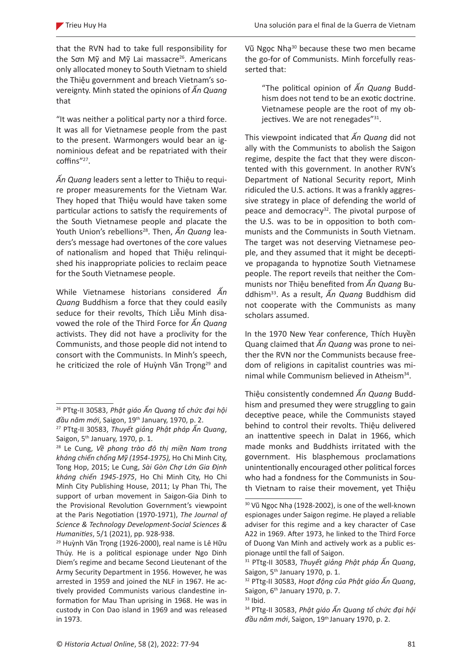that the RVN had to take full responsibility for the Sơn Mỹ and Mỹ Lai massacre<sup>26</sup>. Americans only allocated money to South Vietnam to shield the Thiệu government and breach Vietnam's sovereignty. Minh stated the opinions of *Ấn Quang* that

"It was neither a political party nor a third force. It was all for Vietnamese people from the past to the present. Warmongers would bear an ignominious defeat and be repatriated with their coffins"<sup>27</sup>.

*Ấn Quang* leaders sent a letter to Thiệu to require proper measurements for the Vietnam War. They hoped that Thiệu would have taken some particular actions to satisfy the requirements of the South Vietnamese people and placate the Youth Union's rebellions<sup>28</sup>. Then,  $\widetilde{A}n$  Quang leaders's message had overtones of the core values of nationalism and hoped that Thiệu relinquished his inappropriate policies to reclaim peace for the South Vietnamese people.

While Vietnamese historians considered *Ấn Quang* Buddhism a force that they could easily seduce for their revolts, Thích Liễu Minh disavowed the role of the Third Force for *Ấn Quang* activists. They did not have a proclivity for the Communists, and those people did not intend to consort with the Communists. In Minh's speech, he criticized the role of Huỳnh Văn Trọng<sup>29</sup> and Vũ Ngọc Nhạ<sup>30</sup> because these two men became the go-for of Communists. Minh forcefully reasserted that:

"The political opinion of *Ấn Quang* Buddhism does not tend to be an exotic doctrine. Vietnamese people are the root of my objectives. We are not renegades"<sup>31</sup>.

This viewpoint indicated that *Ấn Quang* did not ally with the Communists to abolish the Saigon regime, despite the fact that they were discontented with this government. In another RVN's Department of National Security report, Minh ridiculed the U.S. actions. It was a frankly aggressive strategy in place of defending the world of peace and democracy<sup>32</sup>. The pivotal purpose of the U.S. was to be in opposition to both communists and the Communists in South Vietnam. The target was not deserving Vietnamese people, and they assumed that it might be deceptive propaganda to hypnotize South Vietnamese people. The report reveils that neither the Communists nor Thiệu benefited from *Ấn Quang* Buddhism33. As a result, *Ấn Quang* Buddhism did not cooperate with the Communists as many scholars assumed.

In the 1970 New Year conference, Thích Huyền Quang claimed that *Ấn Quang* was prone to neither the RVN nor the Communists because freedom of religions in capitalist countries was minimal while Communism believed in Atheism<sup>34</sup>.

Thiệu consistently condemned *Ấn Quang* Buddhism and presumed they were struggling to gain deceptive peace, while the Communists stayed behind to control their revolts. Thiệu delivered an inattentive speech in Dalat in 1966, which made monks and Buddhists irritated with the government. His blasphemous proclamations unintentionally encouraged other political forces who had a fondness for the Communists in South Vietnam to raise their movement, yet Thiệu

<sup>26</sup> PTtg-II 30583, *Phật giáo Ấn Quang tổ chức đại hội đầu năm mới*, Saigon, 19th January, 1970, p. 2.

<sup>27</sup> PTtg-II 30583, *Thuyết giảng Phật pháp Ấn Quang*, Saigon, 5th January, 1970, p. 1.

<sup>28</sup> Le Cung, *Về phong trào đô thị miền Nam trong kháng chiến chống Mỹ (1954-1975),* Ho Chi Minh City, Tong Hop, 2015; Le Cung, *Sài Gòn Chợ Lớn Gia Định kháng chiến 1945-1975*, Ho Chi Minh City, Ho Chi Minh City Publishing House, 2011; Ly Phan Thi, The support of urban movement in Saigon-Gia Dinh to the Provisional Revolution Government's viewpoint at the Paris Negotiation (1970-1971), *The Journal of Science & Technology Development-Social Sciences & Humanities*, 5/1 (2021), pp. 928-938.

<sup>&</sup>lt;sup>29</sup> Huỳnh Văn Trọng (1926-2000), real name is Lê Hữu Thúy. He is a political espionage under Ngo Dinh Diem's regime and became Second Lieutenant of the Army Security Department in 1956. However, he was arrested in 1959 and joined the NLF in 1967. He actively provided Communists various clandestine information for Mau Than uprising in 1968. He was in custody in Con Dao island in 1969 and was released in 1973.

<sup>30</sup> Vũ Ngọc Nhạ (1928-2002), is one of the well-known espionages under Saigon regime. He played a reliable adviser for this regime and a key character of Case A22 in 1969. After 1973, he linked to the Third Force of Duong Van Minh and actively work as a public espionage until the fall of Saigon.

<sup>31</sup> PTtg-II 30583, *Thuyết giảng Phật pháp Ấn Quang*, Saigon, 5<sup>th</sup> January 1970, p. 1.

<sup>32</sup> PTtg-II 30583, *Hoạt động của Phật giáo Ấn Quang*, Saigon, 6<sup>th</sup> January 1970, p. 7.

 $33$  Ihid.

<sup>34</sup> PTtg-II 30583, *Phật giáo Ấn Quang tổ chức đại hội đầu năm mới*, Saigon, 19th January 1970, p. 2.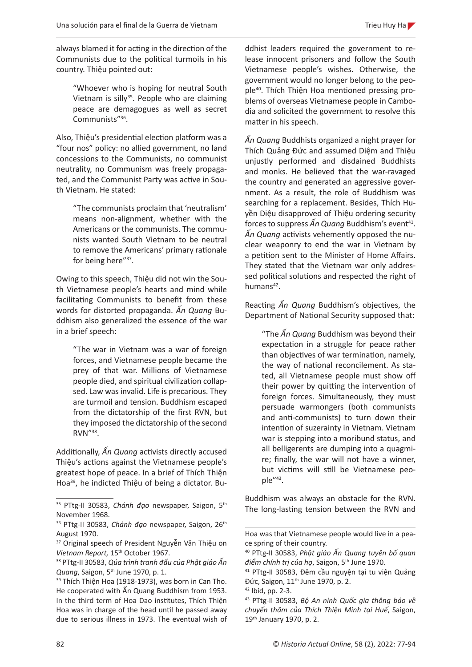always blamed it for acting in the direction of the Communists due to the political turmoils in his country. Thiệu pointed out:

"Whoever who is hoping for neutral South Vietnam is silly<sup>35</sup>. People who are claiming peace are demagogues as well as secret Communists"36.

Also, Thiệu's presidential election platform was a "four nos" policy: no allied government, no land concessions to the Communists, no communist neutrality, no Communism was freely propagated, and the Communist Party was active in South Vietnam. He stated:

"The communists proclaim that 'neutralism' means non-alignment, whether with the Americans or the communists. The communists wanted South Vietnam to be neutral to remove the Americans' primary rationale for being here"<sup>37</sup>.

Owing to this speech, Thiệu did not win the South Vietnamese people's hearts and mind while facilitating Communists to benefit from these words for distorted propaganda. *Ấn Quang* Buddhism also generalized the essence of the war in a brief speech:

"The war in Vietnam was a war of foreign forces, and Vietnamese people became the prey of that war. Millions of Vietnamese people died, and spiritual civilization collapsed. Law was invalid. Life is precarious. They are turmoil and tension. Buddhism escaped from the dictatorship of the first RVN, but they imposed the dictatorship of the second RVN"38.

Additionally, *Ấn Quang* activists directly accused Thiệu's actions against the Vietnamese people's greatest hope of peace. In a brief of Thích Thiện Hoa39, he indicted Thiệu of being a dictator. Buddhist leaders required the government to release innocent prisoners and follow the South Vietnamese people's wishes. Otherwise, the government would no longer belong to the people40. Thích Thiện Hoa mentioned pressing problems of overseas Vietnamese people in Cambodia and solicited the government to resolve this matter in his speech.

*Ấn Quang* Buddhists organized a night prayer for Thích Quảng Đức and assumed Diệm and Thiệu unjustly performed and disdained Buddhists and monks. He believed that the war-ravaged the country and generated an aggressive government. As a result, the role of Buddhism was searching for a replacement. Besides, Thích Huyền Diệu disapproved of Thiệu ordering security forces to suppress  $\hat{A}$ n Quang Buddhism's event<sup>41</sup>. *Ấn Quang* activists vehemently opposed the nuclear weaponry to end the war in Vietnam by a petition sent to the Minister of Home Affairs. They stated that the Vietnam war only addressed political solutions and respected the right of humans<sup>42</sup>.

Reacting *Ấn Quang* Buddhism's objectives, the Department of National Security supposed that:

"The *Ấn Quang* Buddhism was beyond their expectation in a struggle for peace rather than objectives of war termination, namely, the way of national reconcilement. As stated, all Vietnamese people must show off their power by quitting the intervention of foreign forces. Simultaneously, they must persuade warmongers (both communists and anti-communists) to turn down their intention of suzerainty in Vietnam. Vietnam war is stepping into a moribund status, and all belligerents are dumping into a quagmire; finally, the war will not have a winner, but victims will still be Vietnamese people"43.

Buddhism was always an obstacle for the RVN. The long-lasting tension between the RVN and

<sup>&</sup>lt;sup>35</sup> PTtg-II 30583, *Chánh đạo* newspaper, Saigon, 5<sup>th</sup> November 1968.

<sup>&</sup>lt;sup>36</sup> PTtg-II 30583, *Chánh đạo* newspaper, Saigon, 26<sup>th</sup> August 1970.

<sup>&</sup>lt;sup>37</sup> Original speech of President Nguyễn Văn Thiệu on *Vietnam Report,* 15th October 1967. 38 PTtg-II 30583, *Qúa trình tranh đấu của Phật giáo Ấn* 

*Quang*, Saigon, 5th June 1970, p. 1.

<sup>&</sup>lt;sup>39</sup> Thích Thiện Hoa (1918-1973), was born in Can Tho. He cooperated with Ấn Quang Buddhism from 1953. In the third term of Hoa Dao institutes, Thích Thiện Hoa was in charge of the head until he passed away due to serious illness in 1973. The eventual wish of

Hoa was that Vietnamese people would live in a peace spring of their country.

<sup>40</sup> PTtg-II 30583, *Phật giáo Ấn Quang tuyên bố quan điểm chính trị của họ*, Saigon, 5th June 1970.

<sup>41</sup> PTtg-II 30583, Đêm cầu nguyện tại tu viện Quảng Đức, Saigon, 11<sup>th</sup> June 1970, p. 2.

 $42$  Ibid, pp. 2-3.

<sup>43</sup> PTtg-II 30583, *Bộ An ninh Quốc gia thông báo về chuyến thăm của Thích Thiện Minh tại Huế*, Saigon, 19th January 1970, p. 2.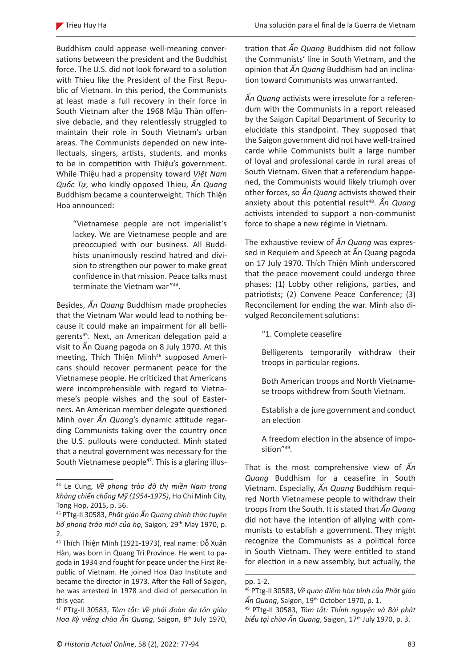Buddhism could appease well-meaning conversations between the president and the Buddhist force. The U.S. did not look forward to a solution with Thieu like the President of the First Republic of Vietnam. In this period, the Communists at least made a full recovery in their force in South Vietnam after the 1968 Mậu Thân offensive debacle, and they relentlessly struggled to maintain their role in South Vietnam's urban areas. The Communists depended on new intellectuals, singers, artists, students, and monks to be in competition with Thiệu's government. While Thiệu had a propensity toward *Việt Nam Quốc Tự,* who kindly opposed Thieu, *Ấn Quang* Buddhism became a counterweight. Thích Thiện Hoa announced:

"Vietnamese people are not imperialist's lackey. We are Vietnamese people and are preoccupied with our business. All Buddhists unanimously rescind hatred and division to strengthen our power to make great confidence in that mission. Peace talks must terminate the Vietnam war"<sup>44</sup>.

Besides, *Ấn Quang* Buddhism made prophecies that the Vietnam War would lead to nothing because it could make an impairment for all belligerents<sup>45</sup>. Next, an American delegation paid a visit to Ấn Quang pagoda on 8 July 1970. At this meeting, Thích Thiện Minh<sup>46</sup> supposed Americans should recover permanent peace for the Vietnamese people. He criticized that Americans were incomprehensible with regard to Vietnamese's people wishes and the soul of Easterners. An American member delegate questioned Minh over *Ấn Quang*'s dynamic attitude regarding Communists taking over the country once the U.S. pullouts were conducted. Minh stated that a neutral government was necessary for the South Vietnamese people<sup>47</sup>. This is a glaring illustration that *Ấn Quang* Buddhism did not follow the Communists' line in South Vietnam, and the opinion that *Ấn Quang* Buddhism had an inclination toward Communists was unwarranted.

*Ấn Quang* activists were irresolute for a referendum with the Communists in a report released by the Saigon Capital Department of Security to elucidate this standpoint. They supposed that the Saigon government did not have well-trained carde while Communists built a large number of loyal and professional carde in rural areas of South Vietnam. Given that a referendum happened, the Communists would likely triumph over other forces, so *Ấn Quang* activists showed their anxiety about this potential result<sup>48</sup>. An Quang activists intended to support a non-communist force to shape a new régime in Vietnam.

The exhaustive review of *Ấn Quang* was expressed in Requiem and Speech at Ấn Quang pagoda on 17 July 1970. Thích Thiện Minh underscored that the peace movement could undergo three phases: (1) Lobby other religions, parties, and patriotists; (2) Convene Peace Conference; (3) Reconcilement for ending the war. Minh also divulged Reconcilement solutions:

"1. Complete ceasefire

Belligerents temporarily withdraw their troops in particular regions.

- Both American troops and North Vietnamese troops withdrew from South Vietnam.
- Establish a de jure government and conduct an election
- A freedom election in the absence of imposition"<sup>49</sup>.

That is the most comprehensive view of *Ấn Quang* Buddhism for a ceasefire in South Vietnam. Especially, *Ấn Quang* Buddhism required North Vietnamese people to withdraw their troops from the South. It is stated that *Ấn Quang* did not have the intention of allying with communists to establish a government. They might recognize the Communists as a political force in South Vietnam. They were entitled to stand for election in a new assembly, but actually, the

<sup>44</sup> Le Cung, *Về phong trào đô thị miền Nam trong kháng chiến chống Mỹ (1954-1975)*, Ho Chi Minh City, Tong Hop, 2015, p. 56.

<sup>45</sup> PTtg-II 30583, *Phật giáo Ấn Quang chính thức tuyên bố phong trào mới của họ*, Saigon, 29th May 1970, p. 2.

<sup>46</sup> Thích Thiện Minh (1921-1973), real name: Đỗ Xuân Hàn, was born in Quang Tri Province. He went to pagoda in 1934 and fought for peace under the First Republic of Vietnam. He joined Hoa Dao Institute and became the director in 1973. After the Fall of Saigon, he was arrested in 1978 and died of persecution in this year.

<sup>47</sup> PTtg-II 30583, *Tóm tắt: Về phái đoàn đa tôn giáo Hoa Kỳ viếng chùa Ấn Quang*, Saigon, 8th July 1970,

pp. 1-2.

<sup>48</sup> PTtg-II 30583, *Về quan điểm hòa bình của Phật giáo Ấn Quang*, Saigon, 19th October 1970, p. 1.

<sup>49</sup> PTtg-II 30583, *Tóm tắt: Thỉnh nguyện và Bài phát biểu tại chùa Ấn Quang*, Saigon, 17th July 1970, p. 3.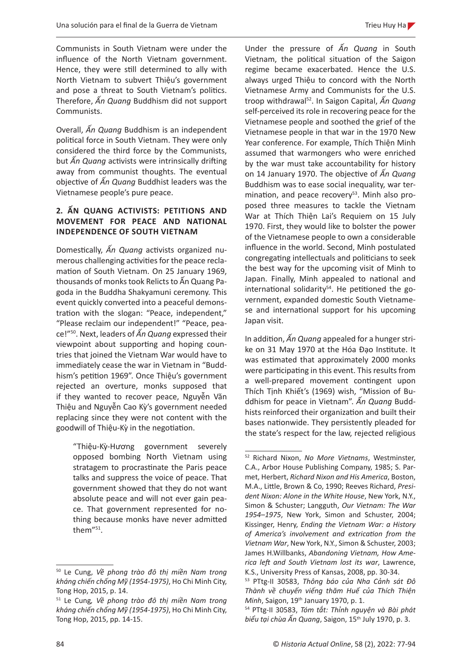Communists in South Vietnam were under the influence of the North Vietnam government. Hence, they were still determined to ally with North Vietnam to subvert Thiệu's government and pose a threat to South Vietnam's politics. Therefore, *Ấn Quang* Buddhism did not support Communists.

Overall, *Ấn Quang* Buddhism is an independent political force in South Vietnam. They were only considered the third force by the Communists, but *Ấn Quang* activists were intrinsically drifting away from communist thoughts. The eventual objective of *Ấn Quang* Buddhist leaders was the Vietnamese people's pure peace.

## **2. ẤN QUANG ACTIVISTS: PETITIONS AND MOVEMENT FOR PEACE AND NATIONAL INDEPENDENCE OF SOUTH VIETNAM**

Domestically, *Ấn Quang* activists organized numerous challenging activities for the peace reclamation of South Vietnam. On 25 January 1969, thousands of monks took Relicts to Ấn Quang Pagoda in the Buddha Shakyamuni ceremony. This event quickly converted into a peaceful demonstration with the slogan: "Peace, independent," "Please reclaim our independent!" "Peace, peace!"<sup>50</sup>. Next, leaders of *Ấn Quang* expressed their viewpoint about supporting and hoping countries that joined the Vietnam War would have to immediately cease the war in Vietnam in "Buddhism's petition 1969". Once Thiệu's government rejected an overture, monks supposed that if they wanted to recover peace, Nguyễn Văn Thiệu and Nguyễn Cao Kỳ's government needed replacing since they were not content with the goodwill of Thiệu-Kỳ in the negotiation.

"Thiệu-Kỳ-Hương government severely opposed bombing North Vietnam using stratagem to procrastinate the Paris peace talks and suppress the voice of peace. That government showed that they do not want absolute peace and will not ever gain peace. That government represented for nothing because monks have never admitted them"<sup>51</sup>.

Under the pressure of *Ấn Quang* in South Vietnam, the political situation of the Saigon regime became exacerbated. Hence the U.S. always urged Thiệu to concord with the North Vietnamese Army and Communists for the U.S. troop withdrawal<sup>52</sup>. In Saigon Capital, *Ấn Quang* self-perceived its role in recovering peace for the Vietnamese people and soothed the grief of the Vietnamese people in that war in the 1970 New Year conference. For example, Thích Thiện Minh assumed that warmongers who were enriched by the war must take accountability for history on 14 January 1970. The objective of *Ấn Quang* Buddhism was to ease social inequality, war termination, and peace recovery<sup>53</sup>. Minh also proposed three measures to tackle the Vietnam War at Thích Thiện Lai's Requiem on 15 July 1970. First, they would like to bolster the power of the Vietnamese people to own a considerable influence in the world. Second, Minh postulated congregating intellectuals and politicians to seek the best way for the upcoming visit of Minh to Japan. Finally, Minh appealed to national and international solidarity<sup>54</sup>. He petitioned the government, expanded domestic South Vietnamese and international support for his upcoming Japan visit.

In addition, *Ấn Quang* appealed for a hunger strike on 31 May 1970 at the Hóa Đạo Institute. It was estimated that approximately 2000 monks were participating in this event. This results from a well-prepared movement contingent upon Thích Tịnh Khiết's (1969) wish, "Mission of Buddhism for peace in Vietnam". *Ấn Quang* Buddhists reinforced their organization and built their bases nationwide. They persistently pleaded for the state's respect for the law, rejected religious

<sup>50</sup> Le Cung, *Về phong trào đô thị miền Nam trong kháng chiến chống Mỹ (1954-1975)*, Ho Chi Minh City, Tong Hop, 2015, p. 14.

<sup>51</sup> Le Cung*, Về phong trào đô thị miền Nam trong kháng chiến chống Mỹ (1954-1975)*, Ho Chi Minh City, Tong Hop, 2015, pp. 14-15.

<sup>52</sup> Richard Nixon, *No More Vietnams*, Westminster, C.A., Arbor House Publishing Company, 1985; S. Parmet, Herbert, *Richard Nixon and His America*, Boston, M.A., Little, Brown & Co, 1990; Reeves Richard, *President Nixon: Alone in the White House*, New York, N.Y., Simon & Schuster; Langguth, *Our Vietnam: The War 1954–1975*, New York, Simon and Schuster, 2004; Kissinger, Henry, *Ending the Vietnam War: a History of America's involvement and extrication from the Vietnam War*, New York, N.Y., Simon & Schuster, 2003; James H.Willbanks, *Abandoning Vietnam, How America left and South Vietnam lost its war*, Lawrence, K.S., University Press of Kansas, 2008, pp. 30-34.

<sup>53</sup> PTtg-II 30583, *Thông báo của Nha Cảnh sát Đô Thành về chuyến viếng thăm Huế của Thích Thiện Minh*, Saigon, 19<sup>th</sup> January 1970, p. 1.

<sup>54</sup> PTtg-II 30583, *Tóm tắt: Thỉnh nguyện và Bài phát biểu tại chùa Ấn Quang*, Saigon, 15<sup>th</sup> July 1970, p. 3.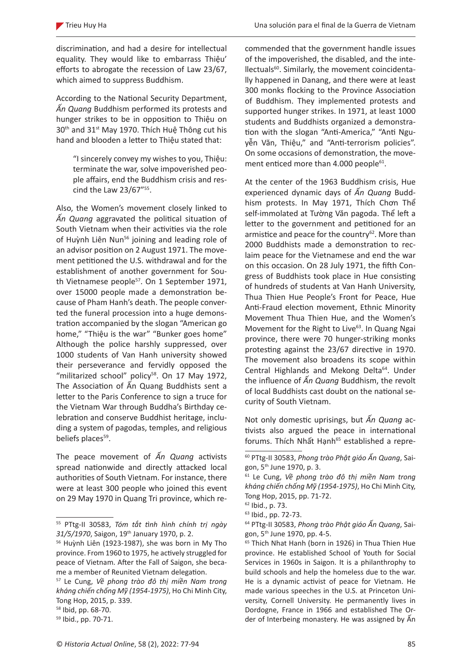discrimination, and had a desire for intellectual equality. They would like to embarrass Thiệu' efforts to abrogate the recession of Law 23/67, which aimed to suppress Buddhism.

According to the National Security Department, *Ấn Quang* Buddhism performed its protests and hunger strikes to be in opposition to Thiệu on 30th and 31st May 1970. Thích Huệ Thông cut his hand and blooden a letter to Thiệu stated that:

"I sincerely convey my wishes to you, Thiệu: terminate the war, solve impoverished people affairs, end the Buddhism crisis and rescind the Law 23/67"<sup>55</sup>.

Also, the Women's movement closely linked to *Ấn Quang* aggravated the political situation of South Vietnam when their activities via the role of Huỳnh Liên Nun<sup>56</sup> joining and leading role of an advisor position on 2 August 1971. The movement petitioned the U.S. withdrawal and for the establishment of another government for South Vietnamese people<sup>57</sup>. On 1 September 1971, over 15000 people made a demonstration because of Pham Hanh's death. The people converted the funeral procession into a huge demonstration accompanied by the slogan "American go home," "Thiệu is the war" "Bunker goes home" Although the police harshly suppressed, over 1000 students of Van Hanh university showed their perseverance and fervidly opposed the "militarized school" policy<sup>58</sup>. On 17 May 1972, The Association of Ấn Quang Buddhists sent a letter to the Paris Conference to sign a truce for the Vietnam War through Buddha's Birthday celebration and conserve Buddhist heritage, including a system of pagodas, temples, and religious beliefs places<sup>59</sup>.

The peace movement of *Ấn Quang* activists spread nationwide and directly attacked local authorities of South Vietnam. For instance, there were at least 300 people who joined this event on 29 May 1970 in Quang Tri province, which recommended that the government handle issues of the impoverished, the disabled, and the intellectuals<sup>60</sup>. Similarly, the movement coincidentally happened in Danang, and there were at least 300 monks flocking to the Province Association of Buddhism. They implemented protests and supported hunger strikes. In 1971, at least 1000 students and Buddhists organized a demonstration with the slogan "Anti-America," "Anti Nguyễn Văn, Thiệu," and "Anti-terrorism policies". On some occasions of demonstration, the movement enticed more than  $4.000$  people $^{61}$ .

At the center of the 1963 Buddhism crisis, Hue experienced dynamic days of *Ấn Quang* Buddhism protests. In May 1971, Thích Chơn Thể self-immolated at Tường Văn pagoda. Thể left a letter to the government and petitioned for an armistice and peace for the country $62$ . More than 2000 Buddhists made a demonstration to reclaim peace for the Vietnamese and end the war on this occasion. On 28 July 1971, the fifth Congress of Buddhists took place in Hue consisting of hundreds of students at Van Hanh University, Thua Thien Hue People's Front for Peace, Hue Anti-Fraud election movement, Ethnic Minority Movement Thua Thien Hue, and the Women's Movement for the Right to Live<sup>63</sup>. In Quang Ngai province, there were 70 hunger-striking monks protesting against the 23/67 directive in 1970. The movement also broadens its scope within Central Highlands and Mekong Delta<sup>64</sup>. Under the influence of *Ấn Quang* Buddhism, the revolt of local Buddhists cast doubt on the national security of South Vietnam.

Not only domestic uprisings, but *Ấn Quang* activists also argued the peace in international forums. Thích Nhất Hạnh<sup>65</sup> established a repre-

<sup>55</sup> PTtg-II 30583, *Tóm tắt tình hình chính trị ngày 31/5/1970*, Saigon, 19th January 1970, p. 2.

<sup>&</sup>lt;sup>56</sup> Huỳnh Liên (1923-1987), she was born in My Tho province. From 1960 to 1975, he actively struggled for peace of Vietnam. After the Fall of Saigon, she became a member of Reunited Vietnam delegation.

<sup>57</sup> Le Cung, *Về phong trào đô thị miền Nam trong kháng chiến chống Mỹ (1954-1975)*, Ho Chi Minh City, Tong Hop, 2015, p. 339.

<sup>58</sup> Ibid, pp. 68-70.

<sup>59</sup> Ibid., pp. 70-71.

<sup>60</sup> PTtg-II 30583, *Phong trào Phật giáo Ấn Quang*, Saigon, 5th June 1970, p. 3.

<sup>61</sup> Le Cung, *Về phong trào đô thị miền Nam trong kháng chiến chống Mỹ (1954-1975)*, Ho Chi Minh City, Tong Hop, 2015, pp. 71-72.

<sup>62</sup> Ibid., p. 73.

<sup>63</sup> Ibid., pp. 72-73.

<sup>64</sup> PTtg-II 30583, *Phong trào Phật giáo Ấn Quang*, Saigon, 5th June 1970, pp. 4-5.

<sup>&</sup>lt;sup>65</sup> Thich Nhat Hanh (born in 1926) in Thua Thien Hue province. He established School of Youth for Social Services in 1960s in Saigon. It is a philanthrophy to build schools and help the homeless due to the war. He is a dynamic activist of peace for Vietnam. He made various speeches in the U.S. at Princeton University, Cornell University. He permanently lives in Dordogne, France in 1966 and established The Order of Interbeing monastery. He was assigned by Ấn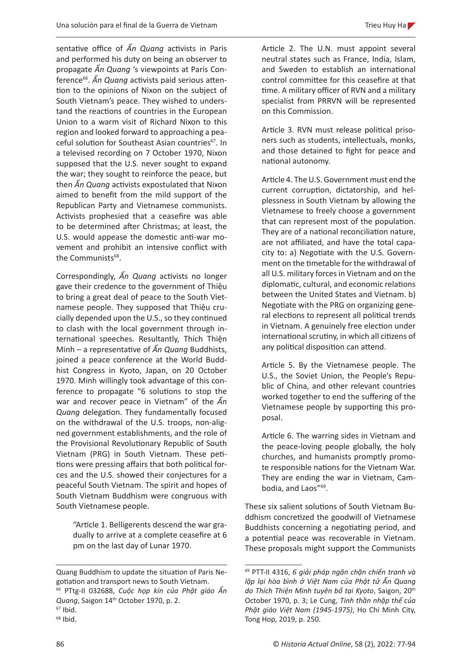sentative office of *Ấn Quang* activists in Paris and performed his duty on being an observer to propagate *Ấn Quang* 's viewpoints at Paris Conference<sup>66</sup>. Ấn Quang activists paid serious attention to the opinions of Nixon on the subject of South Vietnam's peace. They wished to understand the reactions of countries in the European Union to a warm visit of Richard Nixon to this region and looked forward to approaching a peaceful solution for Southeast Asian countries<sup>67</sup>. In a televised recording on 7 October 1970, Nixon supposed that the U.S. never sought to expand the war; they sought to reinforce the peace, but then *Ấn Quang* activists expostulated that Nixon aimed to benefit from the mild support of the Republican Party and Vietnamese communists. Activists prophesied that a ceasefire was able to be determined after Christmas; at least, the U.S. would appease the domestic anti-war movement and prohibit an intensive conflict with the Communists<sup>68</sup>.

Correspondingly, *Ấn Quang* activists no longer gave their credence to the government of Thiệu to bring a great deal of peace to the South Vietnamese people. They supposed that Thiệu crucially depended upon the U.S., so they continued to clash with the local government through international speeches. Resultantly, Thích Thiện Minh – a representative of *Ấn Quang* Buddhists, joined a peace conference at the World Buddhist Congress in Kyoto, Japan, on 20 October 1970. Minh willingly took advantage of this conference to propagate "6 solutions to stop the war and recover peace in Vietnam" of the *Ấn Quang* delegation. They fundamentally focused on the withdrawal of the U.S. troops, non-aligned government establishments, and the role of the Provisional Revolutionary Republic of South Vietnam (PRG) in South Vietnam. These petitions were pressing affairs that both political forces and the U.S. showed their conjectures for a peaceful South Vietnam. The spirit and hopes of South Vietnam Buddhism were congruous with South Vietnamese people.

"Article 1. Belligerents descend the war gradually to arrive at a complete ceasefire at 6 pm on the last day of Lunar 1970.

Article 2. The U.N. must appoint several neutral states such as France, India, Islam, and Sweden to establish an international control committee for this ceasefire at that time. A military officer of RVN and a military specialist from PRRVN will be represented on this Commission.

Article 3. RVN must release political prisoners such as students, intellectuals, monks, and those detained to fight for peace and national autonomy.

Article 4. The U.S. Government must end the current corruption, dictatorship, and helplessness in South Vietnam by allowing the Vietnamese to freely choose a government that can represent most of the population. They are of a national reconciliation nature, are not affiliated, and have the total capacity to: a) Negotiate with the U.S. Government on the timetable for the withdrawal of all U.S. military forces in Vietnam and on the diplomatic, cultural, and economic relations between the United States and Vietnam. b) Negotiate with the PRG on organizing general elections to represent all political trends in Vietnam. A genuinely free election under international scrutiny, in which all citizens of any political disposition can attend.

Article 5. By the Vietnamese people. The U.S., the Soviet Union, the People's Republic of China, and other relevant countries worked together to end the suffering of the Vietnamese people by supporting this proposal.

Article 6. The warring sides in Vietnam and the peace-loving people globally, the holy churches, and humanists promptly promote responsible nations for the Vietnam War. They are ending the war in Vietnam, Cambodia, and Laos"<sup>69</sup>.

These six salient solutions of South Vietnam Buddhism concretized the goodwill of Vietnamese Buddhists concerning a negotiating period, and a potential peace was recoverable in Vietnam. These proposals might support the Communists

Quang Buddhism to update the situation of Paris Negotiation and transport news to South Vietnam. <sup>66</sup> PTtg-II 032688, *Cuộc họp kín của Phật giáo Ấn Quang*, Saigon 14th October 1970, p. 2.

 $67$  Ibid.

 $68$  Ibid.

<sup>69</sup> PTT-II 4316, *6 giải pháp ngăn chặn chiến tranh và lập lại hòa bình ở Việt Nam của Phật tử Ấn Quang do Thích Thiện Minh tuyên bố tại Kyoto*, Saigon, 20th October 1970, p. 3; Le Cung, *Tinh thần nhập thế của Phật giáo Việt Nam (1945-1975)*, Ho Chi Minh City, Tong Hop, 2019, p. 250.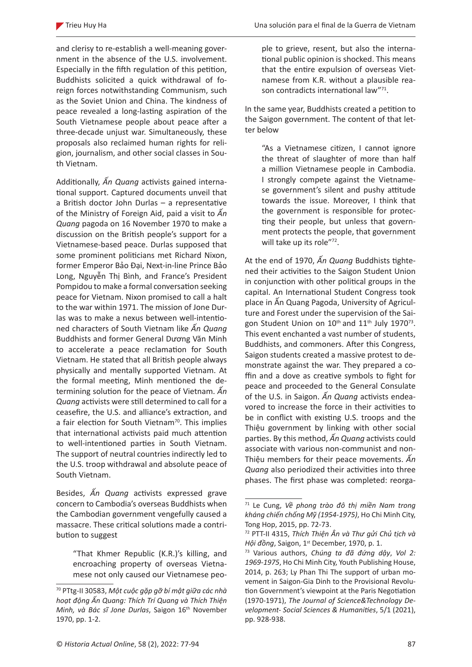and clerisy to re-establish a well-meaning government in the absence of the U.S. involvement. Especially in the fifth regulation of this petition, Buddhists solicited a quick withdrawal of foreign forces notwithstanding Communism, such as the Soviet Union and China. The kindness of peace revealed a long-lasting aspiration of the South Vietnamese people about peace after a three-decade unjust war. Simultaneously, these proposals also reclaimed human rights for religion, journalism, and other social classes in South Vietnam.

Additionally, *Ấn Quang* activists gained international support. Captured documents unveil that a British doctor John Durlas – a representative of the Ministry of Foreign Aid, paid a visit to *Ấn Quang* pagoda on 16 November 1970 to make a discussion on the British people's support for a Vietnamese-based peace. Durlas supposed that some prominent politicians met Richard Nixon, former Emperor Bảo Đại, Next-in-line Prince Bảo Long, Nguyễn Thị Bình, and France's President Pompidou to make a formal conversation seeking peace for Vietnam. Nixon promised to call a halt to the war within 1971. The mission of Jone Durlas was to make a nexus between well-intentioned characters of South Vietnam like *Ấn Quang* Buddhists and former General Dương Văn Minh to accelerate a peace reclamation for South Vietnam. He stated that all British people always physically and mentally supported Vietnam. At the formal meeting, Minh mentioned the determining solution for the peace of Vietnam. *Ấn Quang* activists were still determined to call for a ceasefire, the U.S. and alliance's extraction, and a fair election for South Vietnam<sup>70</sup>. This implies that international activists paid much attention to well-intentioned parties in South Vietnam. The support of neutral countries indirectly led to the U.S. troop withdrawal and absolute peace of South Vietnam.

Besides, *Ấn Quang* activists expressed grave concern to Cambodia's overseas Buddhists when the Cambodian government vengefully caused a massacre. These critical solutions made a contribution to suggest

ple to grieve, resent, but also the international public opinion is shocked. This means that the entire expulsion of overseas Vietnamese from K.R. without a plausible reason contradicts international law"71.

In the same year, Buddhists created a petition to the Saigon government. The content of that letter below

"As a Vietnamese citizen, I cannot ignore the threat of slaughter of more than half a million Vietnamese people in Cambodia. I strongly compete against the Vietnamese government's silent and pushy attitude towards the issue. Moreover, I think that the government is responsible for protecting their people, but unless that government protects the people, that government will take up its role"72.

At the end of 1970, *Ấn Quang* Buddhists tightened their activities to the Saigon Student Union in conjunction with other political groups in the capital. An International Student Congress took place in Ấn Quang Pagoda, University of Agriculture and Forest under the supervision of the Saigon Student Union on 10<sup>th</sup> and 11<sup>th</sup> July 1970<sup>73</sup>. This event enchanted a vast number of students, Buddhists, and commoners. After this Congress, Saigon students created a massive protest to demonstrate against the war. They prepared a coffin and a dove as creative symbols to fight for peace and proceeded to the General Consulate of the U.S. in Saigon. *Ấn Quang* activists endeavored to increase the force in their activities to be in conflict with existing U.S. troops and the Thiệu government by linking with other social parties. By this method, *Ấn Quang* activists could associate with various non-communist and non-Thiệu members for their peace movements. *Ấn Quang* also periodized their activities into three phases. The first phase was completed: reorga-

<sup>&</sup>quot;That Khmer Republic (K.R.)'s killing, and encroaching property of overseas Vietnamese not only caused our Vietnamese peo-

<sup>70</sup> PTtg-II 30583, *Một cuộc gặp gỡ bí mật giữa các nhà hoạt động Ấn Quang: Thích Trí Quang và Thích Thiện Minh, và Bác sĩ Jone Durlas*, Saigon 16th November 1970, pp. 1-2.

<sup>71</sup> Le Cung, *Về phong trào đô thị miền Nam trong kháng chiến chống Mỹ (1954-1975)*, Ho Chi Minh City, Tong Hop, 2015, pp. 72-73.

<sup>72</sup> PTT-II 4315, *Thích Thiện Ân và Thư gửi Chủ tịch và Hội đồng*, Saigon, 1st December, 1970, p. 1.

<sup>73</sup> Various authors, *Chúng ta đã đứng dậy*, *Vol 2: 1969-1975*, Ho Chi Minh City, Youth Publishing House, 2014, p. 263; Ly Phan Thi The support of urban movement in Saigon-Gia Dinh to the Provisional Revolution Government's viewpoint at the Paris Negotiation (1970-1971), *The Journal of Science&Technology Development- Social Sciences & Humanities*, 5/1 (2021), pp. 928-938.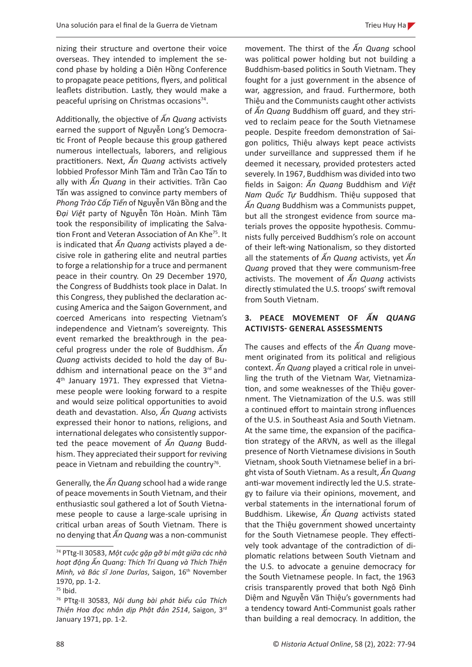nizing their structure and overtone their voice overseas. They intended to implement the second phase by holding a Diên Hồng Conference to propagate peace petitions, flyers, and political leaflets distribution. Lastly, they would make a peaceful uprising on Christmas occasions<sup>74</sup>.

Additionally, the objective of *Ấn Quang* activists earned the support of Nguyễn Long's Democratic Front of People because this group gathered numerous intellectuals, laborers, and religious practitioners. Next, *Ấn Quang* activists actively lobbied Professor Minh Tâm and Trần Cao Tấn to ally with *Ấn Quang* in their activities. Trần Cao Tấn was assigned to convince party members of *Phong Trào Cấp Tiến* of Nguyễn Văn Bồng and the Đ*ại Việt* party of Nguyễn Tôn Hoàn. Minh Tâm took the responsibility of implicating the Salvation Front and Veteran Association of An Khe<sup>75</sup>. It is indicated that *Ấn Quang* activists played a decisive role in gathering elite and neutral parties to forge a relationship for a truce and permanent peace in their country. On 29 December 1970, the Congress of Buddhists took place in Dalat. In this Congress, they published the declaration accusing America and the Saigon Government, and coerced Americans into respecting Vietnam's independence and Vietnam's sovereignty. This event remarked the breakthrough in the peaceful progress under the role of Buddhism. *Ấn Quang* activists decided to hold the day of Buddhism and international peace on the  $3<sup>rd</sup>$  and 4<sup>th</sup> January 1971. They expressed that Vietnamese people were looking forward to a respite and would seize political opportunities to avoid death and devastation. Also, *Ấn Quang* activists expressed their honor to nations, religions, and international delegates who consistently supported the peace movement of *Ấn Quang* Buddhism. They appreciated their support for reviving peace in Vietnam and rebuilding the country<sup>76</sup>.

Generally, the *Ấn Quang* school had a wide range of peace movements in South Vietnam, and their enthusiastic soul gathered a lot of South Vietnamese people to cause a large-scale uprising in critical urban areas of South Vietnam. There is no denying that *Ấn Quang* was a non-communist

movement. The thirst of the *Ấn Quang* school was political power holding but not building a Buddhism-based politics in South Vietnam. They fought for a just government in the absence of war, aggression, and fraud. Furthermore, both Thiệu and the Communists caught other activists of *Ấn Quang* Buddhism off guard, and they strived to reclaim peace for the South Vietnamese people. Despite freedom demonstration of Saigon politics, Thiệu always kept peace activists under surveillance and suppressed them if he deemed it necessary, provided protesters acted severely. In 1967, Buddhism was divided into two fields in Saigon: *Ấn Quang* Buddhism and *Việt Nam Quốc Tự* Buddhism. Thiệu supposed that *Ấn Quang* Buddhism was a Communists puppet, but all the strongest evidence from source materials proves the opposite hypothesis. Communists fully perceived Buddhism's role on account of their left-wing Nationalism, so they distorted all the statements of *Ấn Quang* activists, yet *Ấn Quang* proved that they were communism-free activists. The movement of *Ấn Quang* activists directly stimulated the U.S. troops' swift removal from South Vietnam.

# **3. PEACE MOVEMENT OF** *ẤN QUANG* **ACTIVISTS- GENERAL ASSESSMENTS**

The causes and effects of the *Ấn Quang* movement originated from its political and religious context. *Ấn Quang* played a critical role in unveiling the truth of the Vietnam War, Vietnamization, and some weaknesses of the Thiệu government. The Vietnamization of the U.S. was still a continued effort to maintain strong influences of the U.S. in Southeast Asia and South Vietnam. At the same time, the expansion of the pacification strategy of the ARVN, as well as the illegal presence of North Vietnamese divisions in South Vietnam, shook South Vietnamese belief in a bright vista of South Vietnam. As a result, *Ấn Quang* anti-war movement indirectly led the U.S. strategy to failure via their opinions, movement, and verbal statements in the international forum of Buddhism. Likewise, *Ấn Quang* activists stated that the Thiệu government showed uncertainty for the South Vietnamese people. They effectively took advantage of the contradiction of diplomatic relations between South Vietnam and the U.S. to advocate a genuine democracy for the South Vietnamese people. In fact, the 1963 crisis transparently proved that both Ngô Đình Diệm and Nguyễn Văn Thiệu's governments had a tendency toward Anti-Communist goals rather than building a real democracy. In addition, the

<sup>74</sup> PTtg-II 30583, *Một cuộc gặp gỡ bí mật giữa các nhà hoạt động Ấn Quang: Thích Trí Quang và Thích Thiện Minh, và Bác sĩ Jone Durlas, Saigon, 16<sup>th</sup> November* 1970, pp. 1-2.

<sup>75</sup> Ibid.

<sup>76</sup> PTtg-II 30583, *Nội dung bài phát biểu của Thích Thiện Hoa đọc nhân dịp Phật đản 2514*, Saigon, 3rd January 1971, pp. 1-2.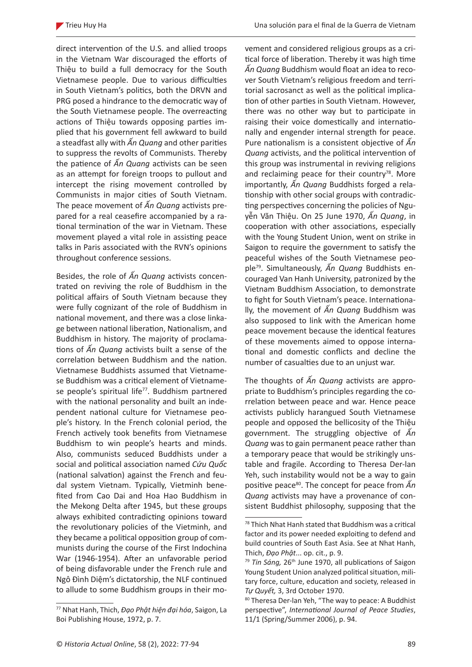direct intervention of the U.S. and allied troops in the Vietnam War discouraged the efforts of Thiệu to build a full democracy for the South Vietnamese people. Due to various difficulties in South Vietnam's politics, both the DRVN and PRG posed a hindrance to the democratic way of the South Vietnamese people. The overreacting actions of Thiệu towards opposing parties implied that his government fell awkward to build a steadfast ally with *Ấn Quang* and other parities to suppress the revolts of Communists. Thereby the patience of *Ấn Quang* activists can be seen as an attempt for foreign troops to pullout and intercept the rising movement controlled by Communists in major cities of South Vietnam. The peace movement of *Ấn Quang* activists prepared for a real ceasefire accompanied by a rational termination of the war in Vietnam. These movement played a vital role in assisting peace talks in Paris associated with the RVN's opinions throughout conference sessions.

Besides, the role of *Ấn Quang* activists concentrated on reviving the role of Buddhism in the political affairs of South Vietnam because they were fully cognizant of the role of Buddhism in national movement, and there was a close linkage between national liberation, Nationalism, and Buddhism in history. The majority of proclamations of *Ấn Quang* activists built a sense of the correlation between Buddhism and the nation. Vietnamese Buddhists assumed that Vietnamese Buddhism was a critical element of Vietnamese people's spiritual life<sup>77</sup>. Buddhism partnered with the national personality and built an independent national culture for Vietnamese people's history. In the French colonial period, the French actively took benefits from Vietnamese Buddhism to win people's hearts and minds. Also, communists seduced Buddhists under a social and political association named *Cứu Quốc* (national salvation) against the French and feudal system Vietnam. Typically, Vietminh benefited from Cao Dai and Hoa Hao Buddhism in the Mekong Delta after 1945, but these groups always exhibited contradicting opinions toward the revolutionary policies of the Vietminh, and they became a political opposition group of communists during the course of the First Indochina War (1946-1954). After an unfavorable period of being disfavorable under the French rule and Ngô Đình Diệm's dictatorship, the NLF continued to allude to some Buddhism groups in their movement and considered religious groups as a critical force of liberation. Thereby it was high time *Ấn Quang* Buddhism would float an idea to recover South Vietnam's religious freedom and territorial sacrosanct as well as the political implication of other parties in South Vietnam. However, there was no other way but to participate in raising their voice domestically and internationally and engender internal strength for peace. Pure nationalism is a consistent objective of *Ấn Quang* activists, and the political intervention of this group was instrumental in reviving religions and reclaiming peace for their country $78$ . More importantly, *Ấn Quang* Buddhists forged a relationship with other social groups with contradicting perspectives concerning the policies of Nguyễn Văn Thiệu. On 25 June 1970, *Ấn Quang*, in cooperation with other associations, especially with the Young Student Union, went on strike in Saigon to require the government to satisfy the peaceful wishes of the South Vietnamese people79. Simultaneously, *Ấn Quang* Buddhists encouraged Van Hanh University, patronized by the Vietnam Buddhism Association, to demonstrate to fight for South Vietnam's peace. Internationally, the movement of *Ấn Quang* Buddhism was also supposed to link with the American home peace movement because the identical features of these movements aimed to oppose international and domestic conflicts and decline the number of casualties due to an unjust war.

The thoughts of *Ấn Quang* activists are appropriate to Buddhism's principles regarding the correlation between peace and war. Hence peace activists publicly harangued South Vietnamese people and opposed the bellicosity of the Thiệu government. The struggling objective of *Ấn Quang* was to gain permanent peace rather than a temporary peace that would be strikingly unstable and fragile. According to Theresa Der-lan Yeh, such instability would not be a way to gain positive peace<sup>80</sup>. The concept for peace from *Ấn Quang* activists may have a provenance of consistent Buddhist philosophy, supposing that the

<sup>77</sup> Nhat Hanh, Thich, *Đạo Phật hiện đại hóa*, Saigon, La Boi Publishing House, 1972, p. 7.

<sup>78</sup> Thich Nhat Hanh stated that Buddhism was a critical factor and its power needed exploiting to defend and build countries of South East Asia. See at Nhat Hanh, Thich, *Đạo Phật*... op. cit., p. 9.

<sup>&</sup>lt;sup>79</sup> Tin Sáng, 26<sup>th</sup> June 1970, all publications of Saigon Young Student Union analyzed political situation, military force, culture, education and society, released in *Tự Quyết,* 3, 3rd October 1970.

<sup>80</sup> Theresa Der-lan Yeh, "The way to peace: A Buddhist perspective", *International Journal of Peace Studies*, 11/1 (Spring/Summer 2006), p. 94.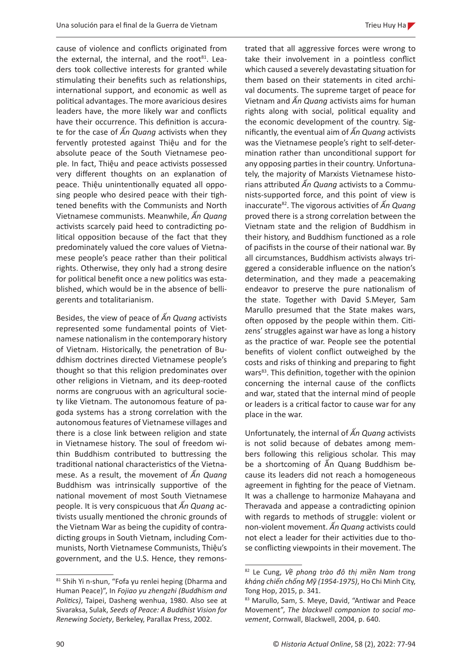cause of violence and conflicts originated from the external, the internal, and the root<sup>81</sup>. Leaders took collective interests for granted while stimulating their benefits such as relationships, international support, and economic as well as political advantages. The more avaricious desires leaders have, the more likely war and conflicts have their occurrence. This definition is accurate for the case of *Ấn Quang* activists when they fervently protested against Thiệu and for the absolute peace of the South Vietnamese people. In fact, Thiệu and peace activists possessed very different thoughts on an explanation of peace. Thiệu unintentionally equated all opposing people who desired peace with their tightened benefits with the Communists and North Vietnamese communists. Meanwhile, *Ấn Quang* activists scarcely paid heed to contradicting political opposition because of the fact that they predominately valued the core values of Vietnamese people's peace rather than their political rights. Otherwise, they only had a strong desire for political benefit once a new politics was established, which would be in the absence of belligerents and totalitarianism.

Besides, the view of peace of *Ấn Quang* activists represented some fundamental points of Vietnamese nationalism in the contemporary history of Vietnam. Historically, the penetration of Buddhism doctrines directed Vietnamese people's thought so that this religion predominates over other religions in Vietnam, and its deep-rooted norms are congruous with an agricultural society like Vietnam. The autonomous feature of pagoda systems has a strong correlation with the autonomous features of Vietnamese villages and there is a close link between religion and state in Vietnamese history. The soul of freedom within Buddhism contributed to buttressing the traditional national characteristics of the Vietnamese. As a result, the movement of *Ấn Quang* Buddhism was intrinsically supportive of the national movement of most South Vietnamese people. It is very conspicuous that *Ấn Quang* activists usually mentioned the chronic grounds of the Vietnam War as being the cupidity of contradicting groups in South Vietnam, including Communists, North Vietnamese Communists, Thiệu's government, and the U.S. Hence, they remonstrated that all aggressive forces were wrong to take their involvement in a pointless conflict which caused a severely devastating situation for them based on their statements in cited archival documents. The supreme target of peace for Vietnam and *Ấn Quang* activists aims for human rights along with social, political equality and the economic development of the country. Significantly, the eventual aim of *Ấn Quang* activists was the Vietnamese people's right to self-determination rather than unconditional support for any opposing parties in their country. Unfortunately, the majority of Marxists Vietnamese historians attributed *Ấn Quang* activists to a Communists-supported force, and this point of view is inaccurate<sup>82</sup>. The vigorous activities of *Ấn Quang* proved there is a strong correlation between the Vietnam state and the religion of Buddhism in their history, and Buddhism functioned as a role of pacifists in the course of their national war. By all circumstances, Buddhism activists always triggered a considerable influence on the nation's determination, and they made a peacemaking endeavor to preserve the pure nationalism of the state. Together with David S.Meyer, Sam Marullo presumed that the State makes wars, often opposed by the people within them. Citizens' struggles against war have as long a history as the practice of war. People see the potential benefits of violent conflict outweighed by the costs and risks of thinking and preparing to fight wars<sup>83</sup>. This definition, together with the opinion concerning the internal cause of the conflicts and war, stated that the internal mind of people or leaders is a critical factor to cause war for any place in the war.

Unfortunately, the internal of *Ấn Quang* activists is not solid because of debates among members following this religious scholar. This may be a shortcoming of Ấn Quang Buddhism because its leaders did not reach a homogeneous agreement in fighting for the peace of Vietnam. It was a challenge to harmonize Mahayana and Theravada and appease a contradicting opinion with regards to methods of struggle: violent or non-violent movement. *Ấn Quang* activists could not elect a leader for their activities due to those conflicting viewpoints in their movement. The

<sup>81</sup> Shih Yi n-shun, "Fofa yu renlei heping (Dharma and Human Peace)", In *Fojiao yu zhengzhi (Buddhism and Politics)*, Taipei, Dasheng wenhua, 1980. Also see at Sivaraksa, Sulak, *Seeds of Peace: A Buddhist Vision for Renewing Society*, Berkeley, Parallax Press, 2002.

<sup>82</sup> Le Cung, *Về phong trào đô thị miền Nam trong kháng chiến chống Mỹ (1954-1975)*, Ho Chi Minh City, Tong Hop, 2015, p. 341.

<sup>83</sup> Marullo, Sam, S. Meye, David, "Antiwar and Peace Movement", *The blackwell companion to social movement*, Cornwall, Blackwell, 2004, p. 640.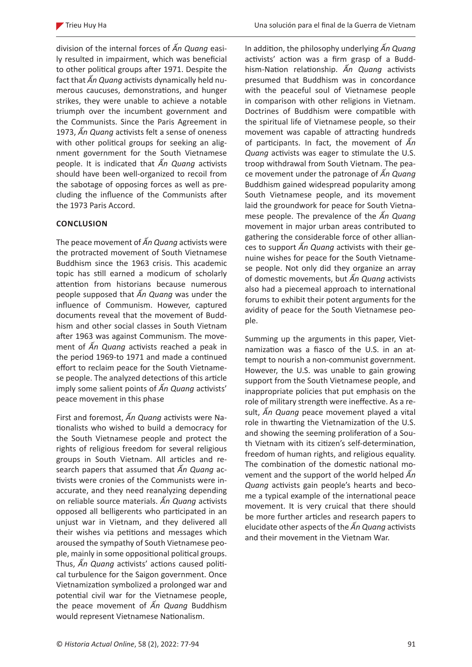division of the internal forces of *Ấn Quang* easily resulted in impairment, which was beneficial to other political groups after 1971. Despite the fact that *Ấn Quang* activists dynamically held numerous caucuses, demonstrations, and hunger strikes, they were unable to achieve a notable triumph over the incumbent government and the Communists. Since the Paris Agreement in 1973, *Ấn Quang* activists felt a sense of oneness with other political groups for seeking an alignment government for the South Vietnamese people. It is indicated that *Ấn Quang* activists should have been well-organized to recoil from the sabotage of opposing forces as well as precluding the influence of the Communists after the 1973 Paris Accord.

#### **CONCLUSION**

The peace movement of *Ấn Quang* activists were the protracted movement of South Vietnamese Buddhism since the 1963 crisis. This academic topic has still earned a modicum of scholarly attention from historians because numerous people supposed that *Ấn Quang* was under the influence of Communism. However, captured documents reveal that the movement of Buddhism and other social classes in South Vietnam after 1963 was against Communism. The movement of *Ấn Quang* activists reached a peak in the period 1969-to 1971 and made a continued effort to reclaim peace for the South Vietnamese people. The analyzed detections of this article imply some salient points of *Ấn Quang* activists' peace movement in this phase

First and foremost, *Ấn Quang* activists were Nationalists who wished to build a democracy for the South Vietnamese people and protect the rights of religious freedom for several religious groups in South Vietnam. All articles and research papers that assumed that *Ấn Quang* activists were cronies of the Communists were inaccurate, and they need reanalyzing depending on reliable source materials. *Ấn Quang* activists opposed all belligerents who participated in an unjust war in Vietnam, and they delivered all their wishes via petitions and messages which aroused the sympathy of South Vietnamese people, mainly in some oppositional political groups. Thus, *Ấn Quang* activists' actions caused political turbulence for the Saigon government. Once Vietnamization symbolized a prolonged war and potential civil war for the Vietnamese people, the peace movement of *Ấn Quang* Buddhism would represent Vietnamese Nationalism.

In addition, the philosophy underlying *Ấn Quang*  activists' action was a firm grasp of a Buddhism-Nation relationship. *Ấn Quang* activists presumed that Buddhism was in concordance with the peaceful soul of Vietnamese people in comparison with other religions in Vietnam. Doctrines of Buddhism were compatible with the spiritual life of Vietnamese people, so their movement was capable of attracting hundreds of participants. In fact, the movement of *Ấn Quang* activists was eager to stimulate the U.S. troop withdrawal from South Vietnam. The peace movement under the patronage of *Ấn Quang* Buddhism gained widespread popularity among South Vietnamese people, and its movement laid the groundwork for peace for South Vietnamese people. The prevalence of the *Ấn Quang* movement in major urban areas contributed to gathering the considerable force of other alliances to support *Ấn Quang* activists with their genuine wishes for peace for the South Vietnamese people. Not only did they organize an array of domestic movements, but *Ấn Quang* activists also had a piecemeal approach to international forums to exhibit their potent arguments for the avidity of peace for the South Vietnamese people.

Summing up the arguments in this paper, Vietnamization was a fiasco of the U.S. in an attempt to nourish a non-communist government. However, the U.S. was unable to gain growing support from the South Vietnamese people, and inappropriate policies that put emphasis on the role of military strength were ineffective. As a result, *Ấn Quang* peace movement played a vital role in thwarting the Vietnamization of the U.S. and showing the seeming proliferation of a South Vietnam with its citizen's self-determination, freedom of human rights, and religious equality. The combination of the domestic national movement and the support of the world helped *Ấn Quang* activists gain people's hearts and become a typical example of the international peace movement. It is very cruical that there should be more further articles and research papers to elucidate other aspects of the *Ấn Quang* activists and their movement in the Vietnam War.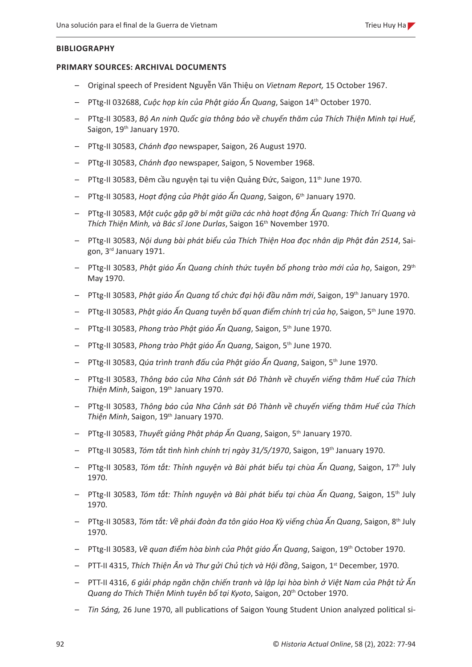#### **BIBLIOGRAPHY**

#### **PRIMARY SOURCES: ARCHIVAL DOCUMENTS**

- Original speech of President Nguyễn Văn Thiệu on *Vietnam Report,* 15 October 1967.
- PTtg-II 032688, *Cuộc họp kín của Phật giáo Ấn Quang*, Saigon 14th October 1970.
- PTtg-II 30583, *Bộ An ninh Quốc gia thông báo về chuyến thăm của Thích Thiện Minh tại Huế*, Saigon, 19<sup>th</sup> January 1970.
- PTtg-II 30583, *Chánh đạo* newspaper, Saigon, 26 August 1970.
- PTtg-II 30583, *Chánh đạo* newspaper, Saigon, 5 November 1968.
- PTtg-II 30583, Đêm cầu nguyện tại tu viện Quảng Đức, Saigon, 11th June 1970.
- PTtg-II 30583, *Hoạt động của Phật giáo Ấn Quang*, Saigon, 6th January 1970.
- PTtg-II 30583, *Một cuộc gặp gỡ bí mật giữa các nhà hoạt động Ấn Quang: Thích Trí Quang và Thích Thiện Minh, và Bác sĩ Jone Durlas*, Saigon 16th November 1970.
- PTtg-II 30583, *Nội dung bài phát biểu của Thích Thiện Hoa đọc nhân dịp Phật đản 2514*, Saigon, 3rd January 1971.
- PTtg-II 30583, *Phật giáo Ấn Quang chính thức tuyên bố phong trào mới của họ*, Saigon, 29th May 1970.
- PTtg-II 30583, *Phật giáo Ấn Quang tổ chức đại hội đầu năm mới*, Saigon, 19th January 1970.
- PTtg-II 30583, *Phật giáo Ấn Quang tuyên bố quan điểm chính trị của họ*, Saigon, 5th June 1970.
- PTtg-II 30583, *Phong trào Phật giáo Ấn Quang*, Saigon, 5th June 1970.
- PTtg-II 30583, *Phong trào Phật giáo Ấn Quang*, Saigon, 5th June 1970.
- PTtg-II 30583, *Qúa trình tranh đấu của Phật giáo Ấn Quang*, Saigon, 5th June 1970.
- PTtg-II 30583, *Thông báo của Nha Cảnh sát Đô Thành về chuyến viếng thăm Huế của Thích Thiện Minh*, Saigon, 19th January 1970.
- PTtg-II 30583, *Thông báo của Nha Cảnh sát Đô Thành về chuyến viếng thăm Huế của Thích Thiện Minh*, Saigon, 19th January 1970.
- PTtg-II 30583, *Thuyết giảng Phật pháp Ấn Quang*, Saigon, 5th January 1970.
- PTtg-II 30583, *Tóm tắt tình hình chính trị ngày 31/5/1970*, Saigon, 19th January 1970.
- PTtg-II 30583, *Tóm tắt: Thỉnh nguyện và Bài phát biểu tại chùa Ấn Quang*, Saigon, 17th July 1970.
- PTtg-II 30583, *Tóm tắt: Thỉnh nguyện và Bài phát biểu tại chùa Ấn Quang*, Saigon, 15th July 1970.
- PTtg-II 30583, *Tóm tắt: Về phái đoàn đa tôn giáo Hoa Kỳ viếng chùa Ấn Quang*, Saigon, 8th July 1970.
- PTtg-II 30583, *Về quan điểm hòa bình của Phật giáo Ấn Quang*, Saigon, 19th October 1970.
- PTT-II 4315, *Thích Thiện Ân và Thư gửi Chủ tịch và Hội đồng*, Saigon, 1st December, 1970.
- PTT-II 4316, *6 giải pháp ngăn chặn chiến tranh và lập lại hòa bình ở Việt Nam của Phật tử Ấn Quang do Thích Thiện Minh tuyên bố tại Kyoto*, Saigon, 20th October 1970.
- *Tin Sáng,* 26 June 1970, all publications of Saigon Young Student Union analyzed political si-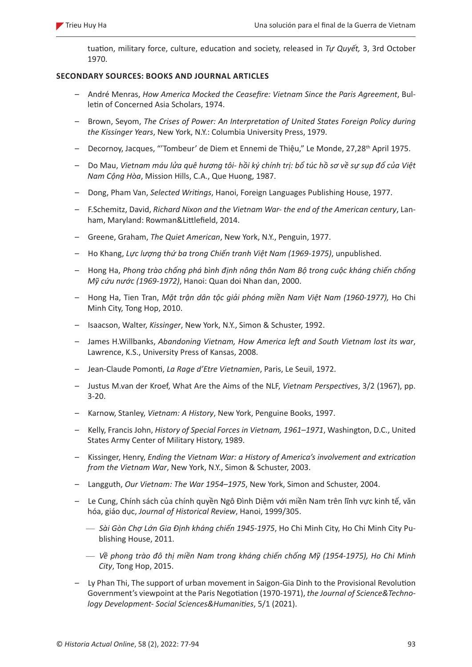tuation, military force, culture, education and society, released in *Tự Quyết,* 3, 3rd October 1970.

### **SECONDARY SOURCES: BOOKS AND JOURNAL ARTICLES**

- André Menras, *How America Mocked the Ceasefire: Vietnam Since the Paris Agreement*, Bulletin of Concerned Asia Scholars, 1974.
- Brown, Seyom, *The Crises of Power: An Interpretation of United States Foreign Policy during the Kissinger Years*, New York, N.Y.: Columbia University Press, 1979.
- Decornoy, Jacques, "'Tombeur' de Diem et Ennemi de Thiệu," Le Monde, 27,28<sup>th</sup> April 1975.
- Do Mau, *Vietnam máu lửa quê hương tôi- hồi ký chính trị: bổ túc hồ sơ về sự sụp đổ của Việt Nam Cộng Hòa*, Mission Hills, C.A., Que Huong, 1987.
- Dong, Pham Van, *Selected Writings*, Hanoi, Foreign Languages Publishing House, 1977.
- F.Schemitz, David, *Richard Nixon and the Vietnam War- the end of the American century*, Lanham, Maryland: Rowman&Littlefield, 2014.
- Greene, Graham, *The Quiet American*, New York, N.Y., Penguin, 1977.
- Ho Khang, *Lực lượng thứ ba trong Chiến tranh Việt Nam (1969-1975)*, unpublished.
- Hong Ha, *Phong trào chống phá bình định nông thôn Nam Bộ trong cuộc kháng chiến chống Mỹ cứu nước (1969-1972)*, Hanoi: Quan doi Nhan dan, 2000.
- Hong Ha, Tien Tran, *Mặt trận dân tộc giải phóng miền Nam Việt Nam (1960-1977),* Ho Chi Minh City, Tong Hop, 2010.
- Isaacson, Walter, *Kissinger*, New York, N.Y., Simon & Schuster, 1992.
- James H.Willbanks, *Abandoning Vietnam, How America left and South Vietnam lost its war*, Lawrence, K.S., University Press of Kansas, 2008.
- Jean-Claude Pomonti, *La Rage d'Etre Vietnamien*, Paris, Le Seuil, 1972.
- Justus M.van der Kroef, What Are the Aims of the NLF, *Vietnam Perspectives*, 3/2 (1967), pp. 3-20.
- Karnow, Stanley, *Vietnam: A History*, New York, Penguine Books, 1997.
- Kelly, Francis John, *History of Special Forces in Vietnam, 1961–1971*, Washington, D.C., United States Army Center of Military History, 1989.
- Kissinger, Henry, *Ending the Vietnam War: a History of America's involvement and extrication from the Vietnam War*, New York, N.Y., Simon & Schuster, 2003.
- Langguth, *Our Vietnam: The War 1954–1975*, New York, Simon and Schuster, 2004.
- Le Cung, Chính sách của chính quyền Ngô Đình Diệm với miền Nam trên lĩnh vực kinh tế, văn hóa, giáo dục, *Journal of Historical Review*, Hanoi, 1999/305.
	- *Sài Gòn Chợ Lớn Gia Định kháng chiến 1945-1975*, Ho Chi Minh City, Ho Chi Minh City Publishing House, 2011.
	- *Về phong trào đô thị miền Nam trong kháng chiến chống Mỹ (1954-1975), Ho Chi Minh City*, Tong Hop, 2015.
- Ly Phan Thi, The support of urban movement in Saigon-Gia Dinh to the Provisional Revolution Government's viewpoint at the Paris Negotiation (1970-1971), *the Journal of Science&Technology Development- Social Sciences&Humanities*, 5/1 (2021).